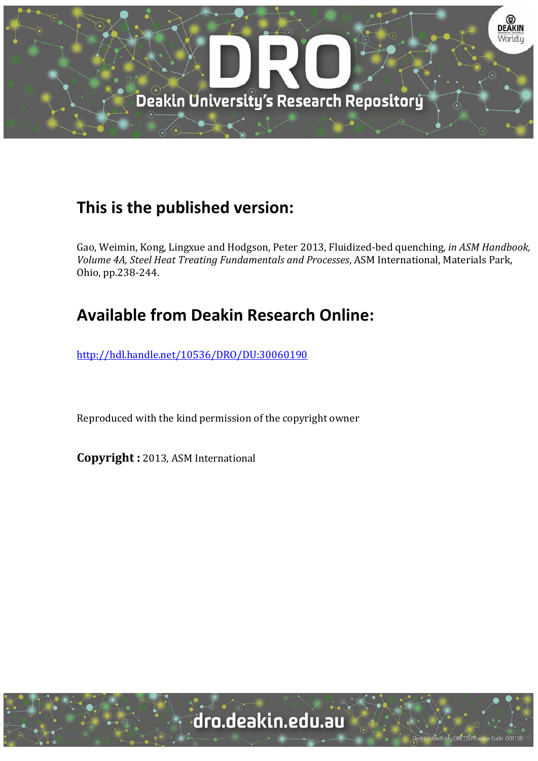

# **This is the published version:**

Gao, Weimin, Kong, Lingxue and Hodgson, Peter 2013, Fluidized-bed quenching, *in ASM Handbook*, *Volume 4A, Steel Heat Treating Fundamentals and Processes*, ASM International, Materials Park, Ohio, pp.238-244.

# **Available from Deakin Research Online:**

http://hdl.handle.net/10536/DRO/DU:30060190

Reproduced with the kind permission of the copyright owner

**Copyright :** 2013, ASM International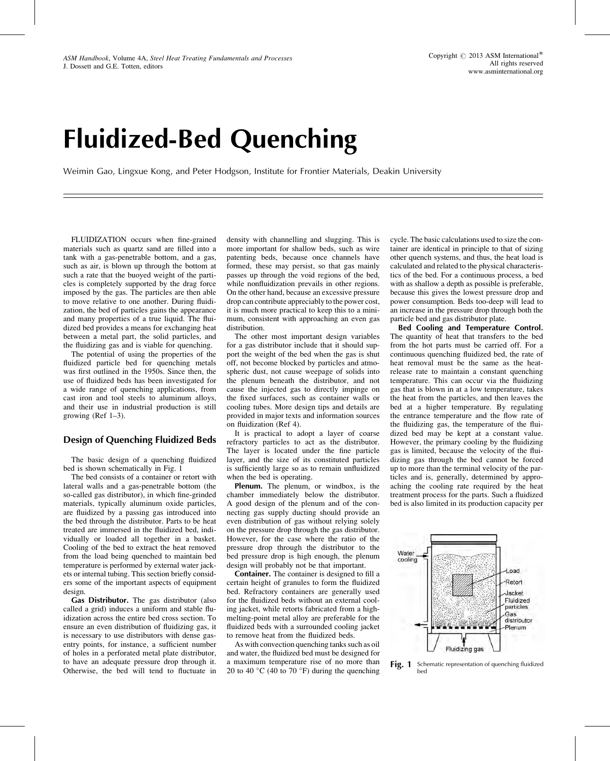# Fluidized-Bed Quenching

Weimin Gao, Lingxue Kong, and Peter Hodgson, Institute for Frontier Materials, Deakin University

FLUIDIZATION occurs when fine-grained materials such as quartz sand are filled into a tank with a gas-penetrable bottom, and a gas, such as air, is blown up through the bottom at such a rate that the buoyed weight of the particles is completely supported by the drag force imposed by the gas. The particles are then able to move relative to one another. During fluidization, the bed of particles gains the appearance and many properties of a true liquid. The fluidized bed provides a means for exchanging heat between a metal part, the solid particles, and the fluidizing gas and is viable for quenching.

The potential of using the properties of the fluidized particle bed for quenching metals was first outlined in the 1950s. Since then, the use of fluidized beds has been investigated for a wide range of quenching applications, from cast iron and tool steels to aluminum alloys, and their use in industrial production is still growing (Ref 1–3).

# Design of Quenching Fluidized Beds

The basic design of a quenching fluidized bed is shown schematically in Fig. 1

The bed consists of a container or retort with lateral walls and a gas-penetrable bottom (the so-called gas distributor), in which fine-grinded materials, typically aluminum oxide particles, are fluidized by a passing gas introduced into the bed through the distributor. Parts to be heat treated are immersed in the fluidized bed, individually or loaded all together in a basket. Cooling of the bed to extract the heat removed from the load being quenched to maintain bed temperature is performed by external water jackets or internal tubing. This section briefly considers some of the important aspects of equipment design.

Gas Distributor. The gas distributor (also called a grid) induces a uniform and stable fluidization across the entire bed cross section. To ensure an even distribution of fluidizing gas, it is necessary to use distributors with dense gasentry points, for instance, a sufficient number of holes in a perforated metal plate distributor, to have an adequate pressure drop through it. Otherwise, the bed will tend to fluctuate in

density with channelling and slugging. This is more important for shallow beds, such as wire patenting beds, because once channels have formed, these may persist, so that gas mainly passes up through the void regions of the bed, while nonfluidization prevails in other regions. On the other hand, because an excessive pressure drop can contribute appreciably to the power cost, it is much more practical to keep this to a minimum, consistent with approaching an even gas distribution.

The other most important design variables for a gas distributor include that it should support the weight of the bed when the gas is shut off, not become blocked by particles and atmospheric dust, not cause weepage of solids into the plenum beneath the distributor, and not cause the injected gas to directly impinge on the fixed surfaces, such as container walls or cooling tubes. More design tips and details are provided in major texts and information sources on fluidization (Ref 4).

It is practical to adopt a layer of coarse refractory particles to act as the distributor. The layer is located under the fine particle layer, and the size of its constituted particles is sufficiently large so as to remain unfluidized when the bed is operating.

Plenum. The plenum, or windbox, is the chamber immediately below the distributor. A good design of the plenum and of the connecting gas supply ducting should provide an even distribution of gas without relying solely on the pressure drop through the gas distributor. However, for the case where the ratio of the pressure drop through the distributor to the bed pressure drop is high enough, the plenum design will probably not be that important.

Container. The container is designed to fill a certain height of granules to form the fluidized bed. Refractory containers are generally used for the fluidized beds without an external cooling jacket, while retorts fabricated from a highmelting-point metal alloy are preferable for the fluidized beds with a surrounded cooling jacket to remove heat from the fluidized beds.

As with convection quenching tanks such as oil and water, the fluidized bed must be designed for a maximum temperature rise of no more than 20 to 40  $^{\circ}$ C (40 to 70  $^{\circ}$ F) during the quenching cycle. The basic calculations used to size the container are identical in principle to that of sizing other quench systems, and thus, the heat load is calculated and related to the physical characteristics of the bed. For a continuous process, a bed with as shallow a depth as possible is preferable, because this gives the lowest pressure drop and power consumption. Beds too-deep will lead to an increase in the pressure drop through both the particle bed and gas distributor plate.

Bed Cooling and Temperature Control. The quantity of heat that transfers to the bed from the hot parts must be carried off. For a continuous quenching fluidized bed, the rate of heat removal must be the same as the heatrelease rate to maintain a constant quenching temperature. This can occur via the fluidizing gas that is blown in at a low temperature, takes the heat from the particles, and then leaves the bed at a higher temperature. By regulating the entrance temperature and the flow rate of the fluidizing gas, the temperature of the fluidized bed may be kept at a constant value. However, the primary cooling by the fluidizing gas is limited, because the velocity of the fluidizing gas through the bed cannot be forced up to more than the terminal velocity of the particles and is, generally, determined by approaching the cooling rate required by the heat treatment process for the parts. Such a fluidized bed is also limited in its production capacity per



Fig. 1 Schematic representation of quenching fluidized bed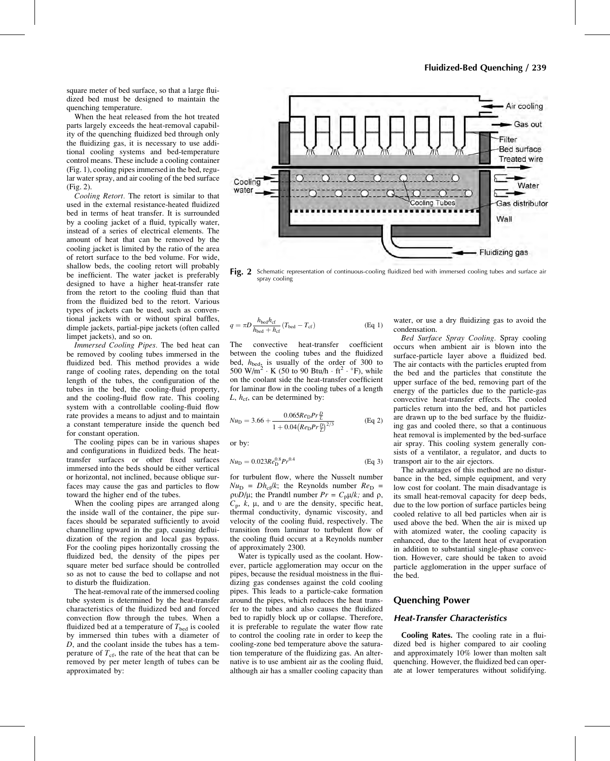square meter of bed surface, so that a large fluidized bed must be designed to maintain the quenching temperature.

When the heat released from the hot treated parts largely exceeds the heat-removal capability of the quenching fluidized bed through only the fluidizing gas, it is necessary to use additional cooling systems and bed-temperature control means. These include a cooling container (Fig. 1), cooling pipes immersed in the bed, regular water spray, and air cooling of the bed surface (Fig. 2).

Cooling Retort. The retort is similar to that used in the external resistance-heated fluidized bed in terms of heat transfer. It is surrounded by a cooling jacket of a fluid, typically water, instead of a series of electrical elements. The amount of heat that can be removed by the cooling jacket is limited by the ratio of the area of retort surface to the bed volume. For wide, shallow beds, the cooling retort will probably be inefficient. The water jacket is preferably designed to have a higher heat-transfer rate from the retort to the cooling fluid than that from the fluidized bed to the retort. Various types of jackets can be used, such as conventional jackets with or without spiral baffles, dimple jackets, partial-pipe jackets (often called limpet jackets), and so on.

Immersed Cooling Pipes. The bed heat can be removed by cooling tubes immersed in the fluidized bed. This method provides a wide range of cooling rates, depending on the total length of the tubes, the configuration of the tubes in the bed, the cooling-fluid property, and the cooling-fluid flow rate. This cooling system with a controllable cooling-fluid flow rate provides a means to adjust and to maintain a constant temperature inside the quench bed for constant operation.

The cooling pipes can be in various shapes and configurations in fluidized beds. The heattransfer surfaces or other fixed surfaces immersed into the beds should be either vertical or horizontal, not inclined, because oblique surfaces may cause the gas and particles to flow toward the higher end of the tubes.

When the cooling pipes are arranged along the inside wall of the container, the pipe surfaces should be separated sufficiently to avoid channelling upward in the gap, causing defluidization of the region and local gas bypass. For the cooling pipes horizontally crossing the fluidized bed, the density of the pipes per square meter bed surface should be controlled so as not to cause the bed to collapse and not to disturb the fluidization.

The heat-removal rate of the immersed cooling tube system is determined by the heat-transfer characteristics of the fluidized bed and forced convection flow through the tubes. When a fluidized bed at a temperature of  $T_{\text{bed}}$  is cooled by immersed thin tubes with a diameter of D, and the coolant inside the tubes has a temperature of  $T_{\rm cf}$ , the rate of the heat that can be removed by per meter length of tubes can be approximated by:



Fig. 2 Schematic representation of continuous-cooling fluidized bed with immersed cooling tubes and surface air spray cooling

$$
q = \pi D \frac{h_{\text{bed}} h_{\text{cf}}}{h_{\text{bed}} + h_{\text{cf}}} (T_{\text{bed}} - T_{\text{cf}})
$$
 (Eq 1)

The convective heat-transfer coefficient between the cooling tubes and the fluidized bed,  $h_{\text{bed}}$ , is usually of the order of 300 to 500 W/m<sup>2</sup> · K (50 to 90 Btu/h · ft<sup>2</sup> · °F), while on the coolant side the heat-transfer coefficient for laminar flow in the cooling tubes of a length  $L$ ,  $h_{\rm cf}$ , can be determined by:

$$
Nu_{\rm D} = 3.66 + \frac{0.065Re_{\rm D}Pr_{L}^{D}}{1 + 0.04(Re_{\rm D}Pr_{L}^{D})^{2/3}}
$$
(Eq 2)

or by:

$$
Nu_{\rm D} = 0.023 Re_{\rm D}^{0.8} Pr^{0.4}
$$
 (Eq 3)

for turbulent flow, where the Nusselt number  $Nu_D = Dh_{\text{cf}}/k$ ; the Reynolds number  $Re_D$  =  $pD/\mu$ ; the Prandtl number  $Pr = C<sub>p</sub>\mu/k$ ; and  $\rho$ ,  $C_p$ , k,  $\mu$ , and  $\nu$  are the density, specific heat, thermal conductivity, dynamic viscosity, and velocity of the cooling fluid, respectively. The transition from laminar to turbulent flow of the cooling fluid occurs at a Reynolds number of approximately 2300.

Water is typically used as the coolant. However, particle agglomeration may occur on the pipes, because the residual moistness in the fluidizing gas condenses against the cold cooling pipes. This leads to a particle-cake formation around the pipes, which reduces the heat transfer to the tubes and also causes the fluidized bed to rapidly block up or collapse. Therefore, it is preferable to regulate the water flow rate to control the cooling rate in order to keep the cooling-zone bed temperature above the saturation temperature of the fluidizing gas. An alternative is to use ambient air as the cooling fluid, although air has a smaller cooling capacity than water, or use a dry fluidizing gas to avoid the condensation.

Bed Surface Spray Cooling. Spray cooling occurs when ambient air is blown into the surface-particle layer above a fluidized bed. The air contacts with the particles erupted from the bed and the particles that constitute the upper surface of the bed, removing part of the energy of the particles due to the particle-gas convective heat-transfer effects. The cooled particles return into the bed, and hot particles are drawn up to the bed surface by the fluidizing gas and cooled there, so that a continuous heat removal is implemented by the bed-surface air spray. This cooling system generally consists of a ventilator, a regulator, and ducts to transport air to the air ejectors.

The advantages of this method are no disturbance in the bed, simple equipment, and very low cost for coolant. The main disadvantage is its small heat-removal capacity for deep beds, due to the low portion of surface particles being cooled relative to all bed particles when air is used above the bed. When the air is mixed up with atomized water, the cooling capacity is enhanced, due to the latent heat of evaporation in addition to substantial single-phase convection. However, care should be taken to avoid particle agglomeration in the upper surface of the bed.

## Quenching Power

#### Heat-Transfer Characteristics

Cooling Rates. The cooling rate in a fluidized bed is higher compared to air cooling and approximately 10% lower than molten salt quenching. However, the fluidized bed can operate at lower temperatures without solidifying.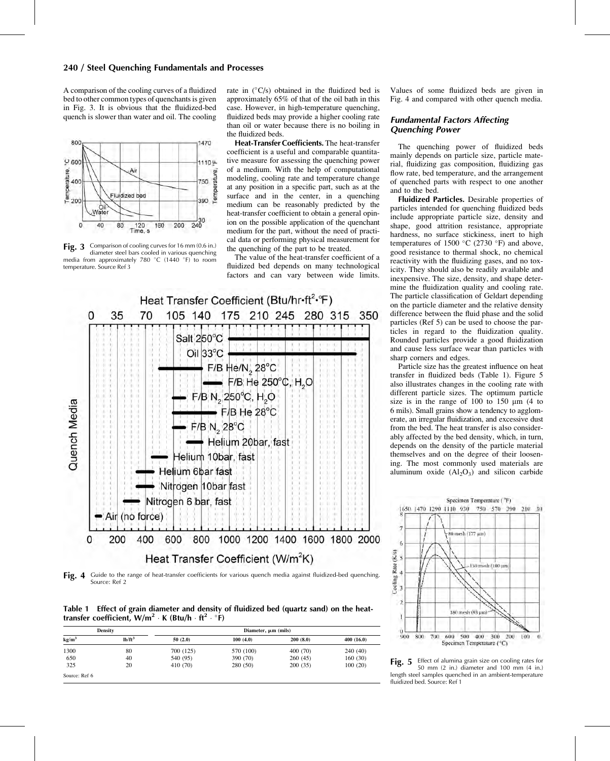A comparison of the cooling curves of a fluidized bed to other common types of quenchants is given in Fig. 3. It is obvious that the fluidized-bed quench is slower than water and oil. The cooling



Fig. 3 Comparison of cooling curves for 16 mm (0.6 in.) diameter steel bars cooled in various quenching media from approximately 780 °C (1440 °F) to room temperature. Source Ref 3

rate in  $(^{\circ}C/s)$  obtained in the fluidized bed is approximately 65% of that of the oil bath in this case. However, in high-temperature quenching, fluidized beds may provide a higher cooling rate than oil or water because there is no boiling in the fluidized beds.

Heat-Transfer Coefficients. The heat-transfer coefficient is a useful and comparable quantitative measure for assessing the quenching power of a medium. With the help of computational modeling, cooling rate and temperature change at any position in a specific part, such as at the surface and in the center, in a quenching medium can be reasonably predicted by the heat-transfer coefficient to obtain a general opinion on the possible application of the quenchant medium for the part, without the need of practical data or performing physical measurement for the quenching of the part to be treated.

The value of the heat-transfer coefficient of a fluidized bed depends on many technological factors and can vary between wide limits.



Fig. 4 Guide to the range of heat-transfer coefficients for various quench media against fluidized-bed quenching. Source: Ref 2



| Density           |                                 | Diameter, $\mu$ m (mils) |           |          |           |
|-------------------|---------------------------------|--------------------------|-----------|----------|-----------|
| kg/m <sup>3</sup> | 1 <sup>h</sup> /ft <sup>3</sup> | 50(2.0)                  | 100(4.0)  | 200(8.0) | 400(16.0) |
| 1300              | 80                              | 700 (125)                | 570 (100) | 400 (70) | 240(40)   |
| 650               | 40                              | 540 (95)                 | 390 (70)  | 260(45)  | 160(30)   |
| 325               | 20                              | 410 (70)                 | 280 (50)  | 200(35)  | 100(20)   |
| Source: Ref 6     |                                 |                          |           |          |           |

Values of some fluidized beds are given in Fig. 4 and compared with other quench media.

## Fundamental Factors Affecting Quenching Power

The quenching power of fluidized beds mainly depends on particle size, particle material, fluidizing gas composition, fluidizing gas flow rate, bed temperature, and the arrangement of quenched parts with respect to one another and to the bed.

Fluidized Particles. Desirable properties of particles intended for quenching fluidized beds include appropriate particle size, density and shape, good attrition resistance, appropriate hardness, no surface stickiness, inert to high temperatures of 1500 °C (2730 °F) and above, good resistance to thermal shock, no chemical reactivity with the fluidizing gases, and no toxicity. They should also be readily available and inexpensive. The size, density, and shape determine the fluidization quality and cooling rate. The particle classification of Geldart depending on the particle diameter and the relative density difference between the fluid phase and the solid particles (Ref 5) can be used to choose the particles in regard to the fluidization quality. Rounded particles provide a good fluidization and cause less surface wear than particles with sharp corners and edges.

Particle size has the greatest influence on heat transfer in fluidized beds (Table 1). Figure 5 also illustrates changes in the cooling rate with different particle sizes. The optimum particle size is in the range of 100 to 150  $\mu$ m (4 to 6 mils). Small grains show a tendency to agglomerate, an irregular fluidization, and excessive dust from the bed. The heat transfer is also considerably affected by the bed density, which, in turn, depends on the density of the particle material themselves and on the degree of their loosening. The most commonly used materials are aluminum oxide  $(Al<sub>2</sub>O<sub>3</sub>)$  and silicon carbide



Fig. 5 Effect of alumina grain size on cooling rates for 50 mm (2 in.) diameter and 100 mm (4 in.) length steel samples quenched in an ambient-temperature fluidized bed. Source: Ref 1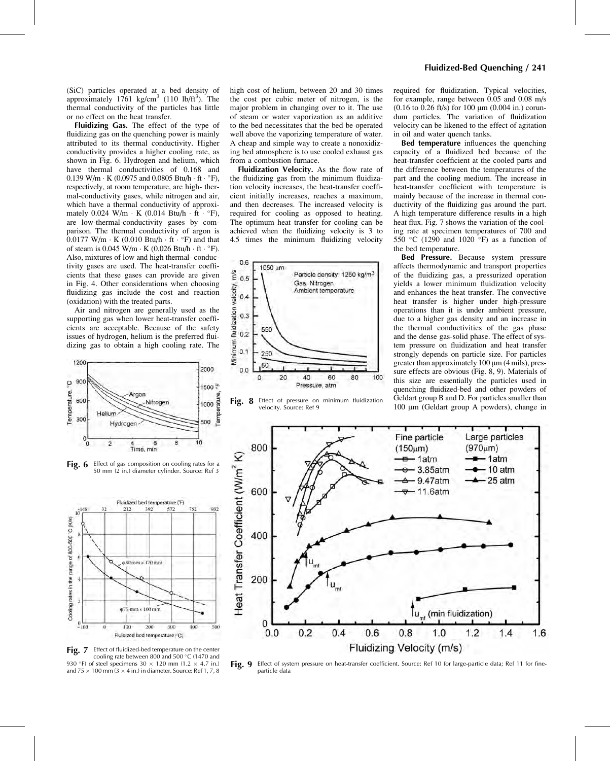(SiC) particles operated at a bed density of approximately  $1761 \text{ kg/cm}^3$  (110 lb/ft<sup>3</sup>). The thermal conductivity of the particles has little or no effect on the heat transfer.

Fluidizing Gas. The effect of the type of fluidizing gas on the quenching power is mainly attributed to its thermal conductivity. Higher conductivity provides a higher cooling rate, as shown in Fig. 6. Hydrogen and helium, which have thermal conductivities of 0.168 and 0.139 W/m  $\cdot$  K (0.0975 and 0.0805 Btu/h  $\cdot$  ft  $\cdot$  °F), respectively, at room temperature, are high- thermal-conductivity gases, while nitrogen and air, which have a thermal conductivity of approximately 0.024 W/m  $\cdot$  K (0.014 Btu/h  $\cdot$  ft  $\cdot$  °F), are low-thermal-conductivity gases by comparison. The thermal conductivity of argon is  $0.0177$  W/m  $\cdot$  K (0.010 Btu/h  $\cdot$  ft  $\cdot$  °F) and that of steam is 0.045 W/m  $\cdot$  K (0.026 Btu/h  $\cdot$  ft  $\cdot$  °F). Also, mixtures of low and high thermal- conductivity gases are used. The heat-transfer coefficients that these gases can provide are given in Fig. 4. Other considerations when choosing fluidizing gas include the cost and reaction (oxidation) with the treated parts.

Air and nitrogen are generally used as the supporting gas when lower heat-transfer coefficients are acceptable. Because of the safety issues of hydrogen, helium is the preferred fluidizing gas to obtain a high cooling rate. The



Fig. 6 Effect of gas composition on cooling rates for a 50 mm (2 in.) diameter cylinder. Source: Ref 3



Fig. 7 Effect of fluidized-bed temperature on the center cooling rate between 800 and 500 °C (1470 and 930 °F) of steel specimens  $30 \times 120$  mm (1.2  $\times$  4.7 in.) and  $75 \times 100$  mm  $(3 \times 4$  in.) in diameter. Source: Ref 1, 7, 8

high cost of helium, between 20 and 30 times the cost per cubic meter of nitrogen, is the major problem in changing over to it. The use of steam or water vaporization as an additive to the bed necessitates that the bed be operated well above the vaporizing temperature of water. A cheap and simple way to create a nonoxidizing bed atmosphere is to use cooled exhaust gas from a combustion furnace.

Fluidization Velocity. As the flow rate of the fluidizing gas from the minimum fluidization velocity increases, the heat-transfer coefficient initially increases, reaches a maximum, and then decreases. The increased velocity is required for cooling as opposed to heating. The optimum heat transfer for cooling can be achieved when the fluidizing velocity is 3 to 4.5 times the minimum fluidizing velocity





required for fluidization. Typical velocities, for example, range between 0.05 and 0.08 m/s  $(0.16 \text{ to } 0.26 \text{ ft/s})$  for 100  $\mu$ m  $(0.004 \text{ in.})$  corundum particles. The variation of fluidization velocity can be likened to the effect of agitation in oil and water quench tanks.

Bed temperature influences the quenching capacity of a fluidized bed because of the heat-transfer coefficient at the cooled parts and the difference between the temperatures of the part and the cooling medium. The increase in heat-transfer coefficient with temperature is mainly because of the increase in thermal conductivity of the fluidizing gas around the part. A high temperature difference results in a high heat flux. Fig. 7 shows the variation of the cooling rate at specimen temperatures of 700 and 550 °C (1290 and 1020 °F) as a function of the bed temperature.

Bed Pressure. Because system pressure affects thermodynamic and transport properties of the fluidizing gas, a pressurized operation yields a lower minimum fluidization velocity and enhances the heat transfer. The convective heat transfer is higher under high-pressure operations than it is under ambient pressure, due to a higher gas density and an increase in the thermal conductivities of the gas phase and the dense gas-solid phase. The effect of system pressure on fluidization and heat transfer strongly depends on particle size. For particles greater than approximately  $100 \mu m$  (4 mils), pressure effects are obvious (Fig. 8, 9). Materials of this size are essentially the particles used in quenching fluidized-bed and other powders of Geldart group B and D. For particles smaller than 100 μm (Geldart group A powders), change in



Fig. 9 Effect of system pressure on heat-transfer coefficient. Source: Ref 10 for large-particle data; Ref 11 for fineparticle data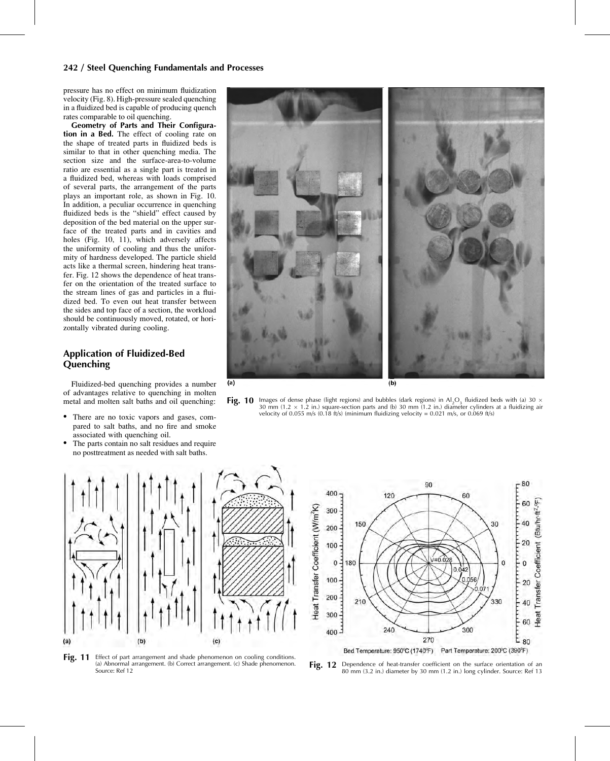#### 242 / Steel Quenching Fundamentals and Processes

pressure has no effect on minimum fluidization velocity (Fig. 8). High-pressure sealed quenching in a fluidized bed is capable of producing quench rates comparable to oil quenching.

Geometry of Parts and Their Configuration in a Bed. The effect of cooling rate on the shape of treated parts in fluidized beds is similar to that in other quenching media. The section size and the surface-area-to-volume ratio are essential as a single part is treated in a fluidized bed, whereas with loads comprised of several parts, the arrangement of the parts plays an important role, as shown in Fig. 10. In addition, a peculiar occurrence in quenching fluidized beds is the "shield" effect caused by deposition of the bed material on the upper surface of the treated parts and in cavities and holes (Fig. 10, 11), which adversely affects the uniformity of cooling and thus the uniformity of hardness developed. The particle shield acts like a thermal screen, hindering heat transfer. Fig. 12 shows the dependence of heat transfer on the orientation of the treated surface to the stream lines of gas and particles in a fluidized bed. To even out heat transfer between the sides and top face of a section, the workload should be continuously moved, rotated, or horizontally vibrated during cooling.

# Application of Fluidized-Bed **Quenching**

Fluidized-bed quenching provides a number of advantages relative to quenching in molten metal and molten salt baths and oil quenching:

- There are no toxic vapors and gases, compared to salt baths, and no fire and smoke associated with quenching oil.
- The parts contain no salt residues and require no posttreatment as needed with salt baths.



- $(a)$
- Fig. 10 Images of dense phase (light regions) and bubbles (dark regions) in Al<sub>2</sub>O<sub>3</sub> fluidized beds with (a) 30  $\times$ <br>On the contract of the contract of the contract of (b) 30 nm (1.2) in historial public at a fluidizing 30 mm (1.2  $\times$  1.2 in.) square-section parts and (b) 30 mm (1.2 in.) diameter cylinders at a fluidizing air velocity of 0.055 m/s (0.18 ft/s) (minimum fluidizing velocity = 0.021 m/s, or 0.069 ft/s)



Fig. 11 Effect of part arrangement and shade phenomenon on cooling conditions. (a) Abnormal arrangement. (b) Correct arrangement. (c) Shade phenomenon.



Fig. 12 Dependence of heat-transfer coefficient on the surface orientation of an 80 mm (3.2 in.) diameter by 30 mm (1.2 in.) long cylinder. Source: Ref 13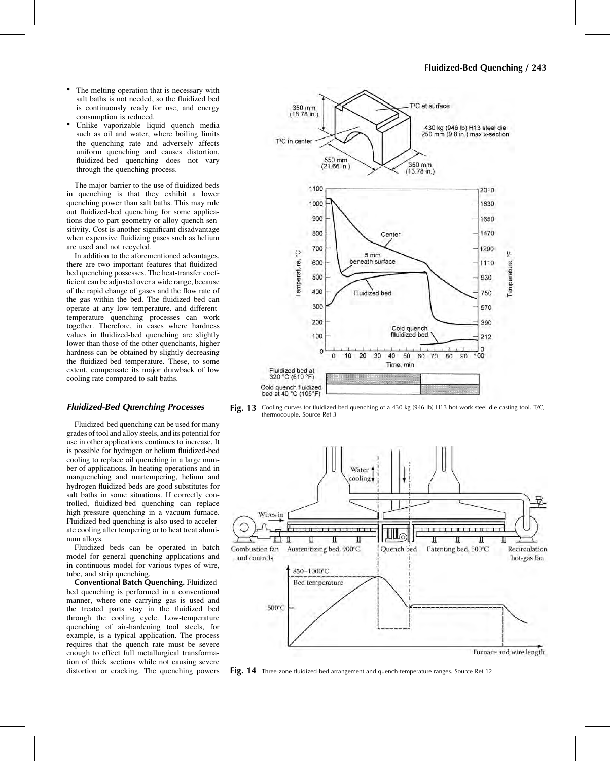- The melting operation that is necessary with salt baths is not needed, so the fluidized bed is continuously ready for use, and energy consumption is reduced.
- Unlike vaporizable liquid quench media such as oil and water, where boiling limits the quenching rate and adversely affects uniform quenching and causes distortion, fluidized-bed quenching does not vary through the quenching process.

The major barrier to the use of fluidized beds in quenching is that they exhibit a lower quenching power than salt baths. This may rule out fluidized-bed quenching for some applications due to part geometry or alloy quench sensitivity. Cost is another significant disadvantage when expensive fluidizing gases such as helium are used and not recycled.

In addition to the aforementioned advantages, there are two important features that fluidizedbed quenching possesses. The heat-transfer coefficient can be adjusted over a wide range, because of the rapid change of gases and the flow rate of the gas within the bed. The fluidized bed can operate at any low temperature, and differenttemperature quenching processes can work together. Therefore, in cases where hardness values in fluidized-bed quenching are slightly lower than those of the other quenchants, higher hardness can be obtained by slightly decreasing the fluidized-bed temperature. These, to some extent, compensate its major drawback of low cooling rate compared to salt baths.

#### Fluidized-Bed Quenching Processes

Fluidized-bed quenching can be used for many grades of tool and alloy steels, and its potential for use in other applications continues to increase. It is possible for hydrogen or helium fluidized-bed cooling to replace oil quenching in a large number of applications. In heating operations and in marquenching and martempering, helium and hydrogen fluidized beds are good substitutes for salt baths in some situations. If correctly controlled, fluidized-bed quenching can replace high-pressure quenching in a vacuum furnace. Fluidized-bed quenching is also used to accelerate cooling after tempering or to heat treat aluminum alloys.

Fluidized beds can be operated in batch model for general quenching applications and in continuous model for various types of wire, tube, and strip quenching.

Conventional Batch Quenching. Fluidizedbed quenching is performed in a conventional manner, where one carrying gas is used and the treated parts stay in the fluidized bed through the cooling cycle. Low-temperature quenching of air-hardening tool steels, for example, is a typical application. The process requires that the quench rate must be severe enough to effect full metallurgical transformation of thick sections while not causing severe distortion or cracking. The quenching powers



Fig. 13 Cooling curves for fluidized-bed quenching of a 430 kg (946 lb) H13 hot-work steel die casting tool. T/C, thermocouple. Source Ref 3



**Fig. 14** Three-zone fluidized-bed arrangement and quench-temperature ranges. Source Ref 12